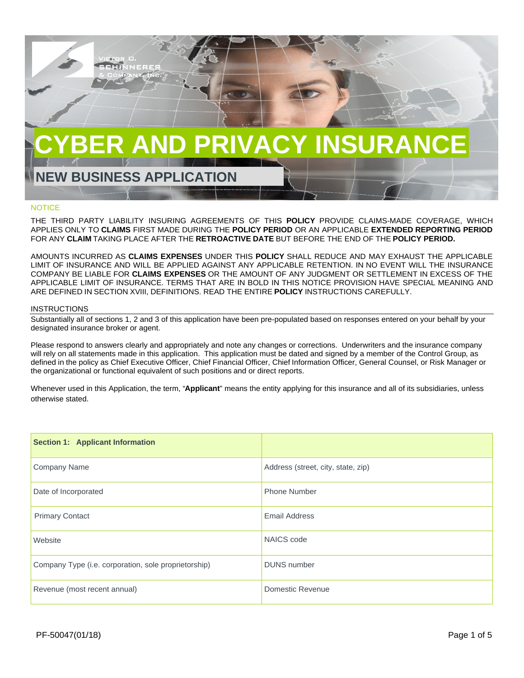

# **NOTICE**

THE THIRD PARTY LIABILITY INSURING AGREEMENTS OF THIS **POLICY** PROVIDE CLAIMS-MADE COVERAGE, WHICH APPLIES ONLY TO **CLAIMS** FIRST MADE DURING THE **POLICY PERIOD** OR AN APPLICABLE **EXTENDED REPORTING PERIOD** FOR ANY **CLAIM** TAKING PLACE AFTER THE **RETROACTIVE DATE** BUT BEFORE THE END OF THE **POLICY PERIOD.**

AMOUNTS INCURRED AS **CLAIMS EXPENSES** UNDER THIS **POLICY** SHALL REDUCE AND MAY EXHAUST THE APPLICABLE LIMIT OF INSURANCE AND WILL BE APPLIED AGAINST ANY APPLICABLE RETENTION. IN NO EVENT WILL THE INSURANCE COMPANY BE LIABLE FOR **CLAIMS EXPENSES** OR THE AMOUNT OF ANY JUDGMENT OR SETTLEMENT IN EXCESS OF THE APPLICABLE LIMIT OF INSURANCE. TERMS THAT ARE IN BOLD IN THIS NOTICE PROVISION HAVE SPECIAL MEANING AND ARE DEFINED IN SECTION XVIII, DEFINITIONS. READ THE ENTIRE **POLICY** INSTRUCTIONS CAREFULLY.

#### INSTRUCTIONS

Substantially all of sections 1, 2 and 3 of this application have been pre-populated based on responses entered on your behalf by your designated insurance broker or agent.

Please respond to answers clearly and appropriately and note any changes or corrections. Underwriters and the insurance company will rely on all statements made in this application. This application must be dated and signed by a member of the Control Group, as defined in the policy as Chief Executive Officer, Chief Financial Officer, Chief Information Officer, General Counsel, or Risk Manager or the organizational or functional equivalent of such positions and or direct reports.

Whenever used in this Application, the term, "**Applicant**" means the entity applying for this insurance and all of its subsidiaries, unless otherwise stated.

| <b>Section 1: Applicant Information</b>              |                                    |
|------------------------------------------------------|------------------------------------|
| <b>Company Name</b>                                  | Address (street, city, state, zip) |
| Date of Incorporated                                 | <b>Phone Number</b>                |
| <b>Primary Contact</b>                               | Email Address                      |
| Website                                              | NAICS code                         |
| Company Type (i.e. corporation, sole proprietorship) | <b>DUNS</b> number                 |
| Revenue (most recent annual)                         | Domestic Revenue                   |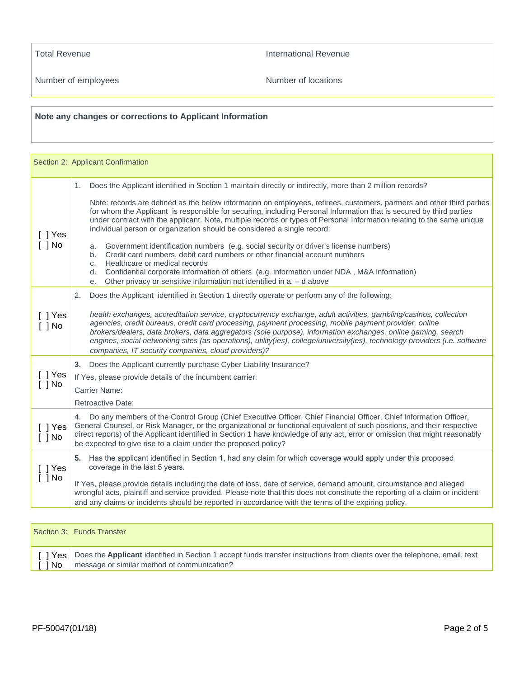Total Revenue **International Revenue** 

Number of employees **Number of locations** 

# **Note any changes or corrections to Applicant Information**

|                                 | Section 2: Applicant Confirmation                                                                                                                                                                                                                                                                                                                                                                                                                                                                                                                                                                                                      |  |
|---------------------------------|----------------------------------------------------------------------------------------------------------------------------------------------------------------------------------------------------------------------------------------------------------------------------------------------------------------------------------------------------------------------------------------------------------------------------------------------------------------------------------------------------------------------------------------------------------------------------------------------------------------------------------------|--|
|                                 | 1. Does the Applicant identified in Section 1 maintain directly or indirectly, more than 2 million records?                                                                                                                                                                                                                                                                                                                                                                                                                                                                                                                            |  |
| $\lceil \ \rceil$ Yes           | Note: records are defined as the below information on employees, retirees, customers, partners and other third parties<br>for whom the Applicant is responsible for securing, including Personal Information that is secured by third parties<br>under contract with the applicant. Note, multiple records or types of Personal Information relating to the same unique<br>individual person or organization should be considered a single record:                                                                                                                                                                                     |  |
| $[$ $]$ No                      | Government identification numbers (e.g. social security or driver's license numbers)<br>a.<br>Credit card numbers, debit card numbers or other financial account numbers<br>b.<br>Healthcare or medical records<br>C.<br>Confidential corporate information of others (e.g. information under NDA, M&A information)<br>d.                                                                                                                                                                                                                                                                                                              |  |
|                                 | Other privacy or sensitive information not identified in $a - d$ above<br>e.                                                                                                                                                                                                                                                                                                                                                                                                                                                                                                                                                           |  |
| [ ] Yes<br>$[$ $]$ No           | Does the Applicant identified in Section 1 directly operate or perform any of the following:<br>2.<br>health exchanges, accreditation service, cryptocurrency exchange, adult activities, gambling/casinos, collection<br>agencies, credit bureaus, credit card processing, payment processing, mobile payment provider, online<br>brokers/dealers, data brokers, data aggregators (sole purpose), information exchanges, online gaming, search<br>engines, social networking sites (as operations), utility(ies), college/university(ies), technology providers (i.e. software<br>companies, IT security companies, cloud providers)? |  |
|                                 | 3. Does the Applicant currently purchase Cyber Liability Insurance?                                                                                                                                                                                                                                                                                                                                                                                                                                                                                                                                                                    |  |
| $[$ $]$ Yes<br>$[$ ] No         | If Yes, please provide details of the incumbent carrier:                                                                                                                                                                                                                                                                                                                                                                                                                                                                                                                                                                               |  |
|                                 | <b>Carrier Name:</b><br><b>Retroactive Date:</b>                                                                                                                                                                                                                                                                                                                                                                                                                                                                                                                                                                                       |  |
| $\lceil$   Yes<br>$\lceil$   No | 4. Do any members of the Control Group (Chief Executive Officer, Chief Financial Officer, Chief Information Officer,<br>General Counsel, or Risk Manager, or the organizational or functional equivalent of such positions, and their respective<br>direct reports) of the Applicant identified in Section 1 have knowledge of any act, error or omission that might reasonably<br>be expected to give rise to a claim under the proposed policy?                                                                                                                                                                                      |  |
| $\lceil$   Yes                  | 5. Has the applicant identified in Section 1, had any claim for which coverage would apply under this proposed<br>coverage in the last 5 years.                                                                                                                                                                                                                                                                                                                                                                                                                                                                                        |  |
| $[$ ] No                        | If Yes, please provide details including the date of loss, date of service, demand amount, circumstance and alleged<br>wrongful acts, plaintiff and service provided. Please note that this does not constitute the reporting of a claim or incident<br>and any claims or incidents should be reported in accordance with the terms of the expiring policy.                                                                                                                                                                                                                                                                            |  |

|       | Section 3: Funds Transfer                                                                                                                                                          |
|-------|------------------------------------------------------------------------------------------------------------------------------------------------------------------------------------|
| I INo | [] Yes   Does the Applicant identified in Section 1 accept funds transfer instructions from clients over the telephone, email, text<br>message or similar method of communication? |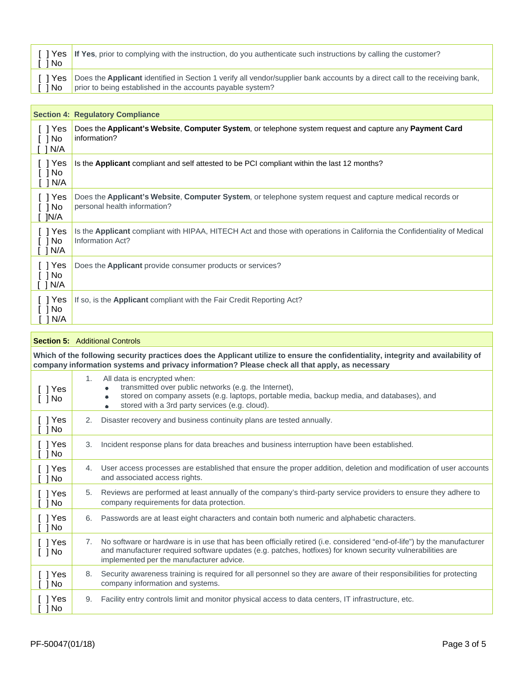| 1 No  | [] Yes   If Yes, prior to complying with the instruction, do you authenticate such instructions by calling the customer?                                                                            |
|-------|-----------------------------------------------------------------------------------------------------------------------------------------------------------------------------------------------------|
| I INo | T 1 Yes   Does the Applicant identified in Section 1 verify all vendor/supplier bank accounts by a direct call to the receiving bank,<br>prior to being established in the accounts payable system? |

|                                                          | <b>Section 4: Regulatory Compliance</b>                                                                                                             |
|----------------------------------------------------------|-----------------------------------------------------------------------------------------------------------------------------------------------------|
| I I Yes<br>$\lceil$   No<br>N/A                          | Does the Applicant's Website, Computer System, or telephone system request and capture any Payment Card<br>information?                             |
| [ ] Yes<br>$\lceil$ $\rceil$ No<br>$\lceil$ $\lceil$ N/A | Is the Applicant compliant and self attested to be PCI compliant within the last 12 months?                                                         |
| [ ] Yes<br>$\lceil$ 1 No<br>1N/A                         | Does the Applicant's Website, Computer System, or telephone system request and capture medical records or<br>personal health information?           |
| $[$ ] Yes<br>[ ] No<br>$\lceil$ $\lceil$ N/A             | Is the <b>Applicant</b> compliant with HIPAA, HITECH Act and those with operations in California the Confidentiality of Medical<br>Information Act? |
| [ ] Yes<br>$\lceil$ $\rceil$ No<br>$\lceil$ $\lceil$ N/A | Does the <b>Applicant</b> provide consumer products or services?                                                                                    |
| $[$ ] Yes<br>1 No<br>N/A                                 | If so, is the Applicant compliant with the Fair Credit Reporting Act?                                                                               |

|                                                                                                                                                                                                                                     |    | <b>Section 5:</b> Additional Controls                                                                                                                                                                                                                                            |
|-------------------------------------------------------------------------------------------------------------------------------------------------------------------------------------------------------------------------------------|----|----------------------------------------------------------------------------------------------------------------------------------------------------------------------------------------------------------------------------------------------------------------------------------|
| Which of the following security practices does the Applicant utilize to ensure the confidentiality, integrity and availability of<br>company information systems and privacy information? Please check all that apply, as necessary |    |                                                                                                                                                                                                                                                                                  |
| [ ] Yes<br>$\lceil$ $\rceil$ No                                                                                                                                                                                                     | 1. | All data is encrypted when:<br>transmitted over public networks (e.g. the Internet),<br>stored on company assets (e.g. laptops, portable media, backup media, and databases), and<br>$\bullet$<br>stored with a 3rd party services (e.g. cloud).<br>$\bullet$                    |
| $[$ ] Yes<br>$[$ ] No                                                                                                                                                                                                               | 2. | Disaster recovery and business continuity plans are tested annually.                                                                                                                                                                                                             |
| $\lceil \ \rceil$ Yes<br>$[$ $]$ No                                                                                                                                                                                                 | 3. | Incident response plans for data breaches and business interruption have been established.                                                                                                                                                                                       |
| $[$ ] Yes<br>1 No                                                                                                                                                                                                                   |    | 4. User access processes are established that ensure the proper addition, deletion and modification of user accounts<br>and associated access rights.                                                                                                                            |
| [ ] Yes<br>$[$ $]$ No                                                                                                                                                                                                               | 5. | Reviews are performed at least annually of the company's third-party service providers to ensure they adhere to<br>company requirements for data protection.                                                                                                                     |
| $[$ ] Yes<br>$[$ $]$ No                                                                                                                                                                                                             |    | 6. Passwords are at least eight characters and contain both numeric and alphabetic characters.                                                                                                                                                                                   |
| $[$ ] Yes<br>$[$ ] No                                                                                                                                                                                                               | 7. | No software or hardware is in use that has been officially retired (i.e. considered "end-of-life") by the manufacturer<br>and manufacturer required software updates (e.g. patches, hotfixes) for known security vulnerabilities are<br>implemented per the manufacturer advice. |
| $\lceil \ \rceil$ Yes<br>$[$ $]$ No                                                                                                                                                                                                 | 8. | Security awareness training is required for all personnel so they are aware of their responsibilities for protecting<br>company information and systems.                                                                                                                         |
| $[$ $]$ Yes<br>] No                                                                                                                                                                                                                 | 9. | Facility entry controls limit and monitor physical access to data centers. IT infrastructure, etc.                                                                                                                                                                               |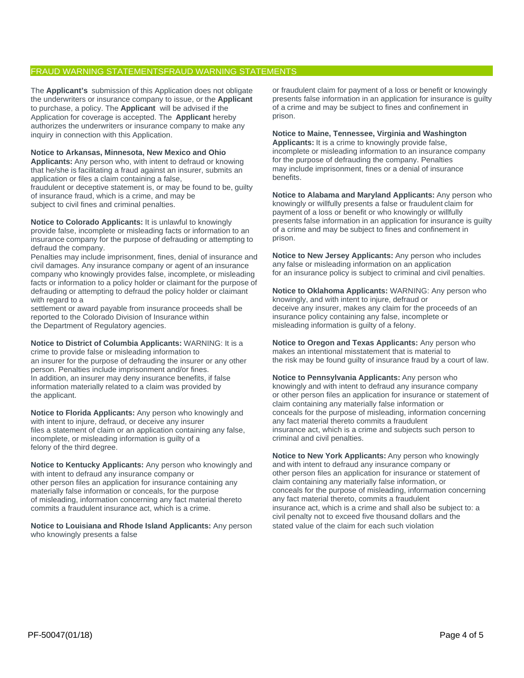## FRAUD WARNING STATEMENTSFRAUD WARNING STATEMENTS

The **Applicant's** submission of this Application does not obligate the underwriters or insurance company to issue, or the **Applicant** to purchase, a policy. The **Applicant** will be advised if the Application for coverage is accepted. The **Applicant** hereby authorizes the underwriters or insurance company to make any inquiry in connection with this Application.

#### **Notice to Arkansas, Minnesota, New Mexico and Ohio**

**Applicants:** Any person who, with intent to defraud or knowing that he/she is facilitating a fraud against an insurer, submits an application or files a claim containing a false, fraudulent or deceptive statement is, or may be found to be, guilty

of insurance fraud, which is a crime, and may be subject to civil fines and criminal penalties.

**Notice to Colorado Applicants:** It is unlawful to knowingly provide false, incomplete or misleading facts or information to an insurance company for the purpose of defrauding or attempting to defraud the company.

Penalties may include imprisonment, fines, denial of insurance and civil damages. Any insurance company or agent of an insurance company who knowingly provides false, incomplete, or misleading facts or information to a policy holder or claimant for the purpose of defrauding or attempting to defraud the policy holder or claimant with regard to a

settlement or award payable from insurance proceeds shall be reported to the Colorado Division of Insurance within the Department of Regulatory agencies.

**Notice to District of Columbia Applicants:** WARNING: It is a crime to provide false or misleading information to an insurer for the purpose of defrauding the insurer or any other person. Penalties include imprisonment and/or fines. In addition, an insurer may deny insurance benefits, if false information materially related to a claim was provided by the applicant.

**Notice to Florida Applicants:** Any person who knowingly and with intent to injure, defraud, or deceive any insurer files a statement of claim or an application containing any false, incomplete, or misleading information is guilty of a felony of the third degree.

**Notice to Kentucky Applicants:** Any person who knowingly and with intent to defraud any insurance company or other person files an application for insurance containing any materially false information or conceals, for the purpose of misleading, information concerning any fact material thereto commits a fraudulent insurance act, which is a crime.

**Notice to Louisiana and Rhode Island Applicants:** Any person who knowingly presents a false

or fraudulent claim for payment of a loss or benefit or knowingly presents false information in an application for insurance is guilty of a crime and may be subject to fines and confinement in prison.

# **Notice to Maine, Tennessee, Virginia and Washington**

**Applicants:** It is a crime to knowingly provide false, incomplete or misleading information to an insurance company for the purpose of defrauding the company. Penalties may include imprisonment, fines or a denial of insurance benefits.

**Notice to Alabama and Maryland Applicants:** Any person who knowingly or willfully presents a false or fraudulent claim for payment of a loss or benefit or who knowingly or willfully presents false information in an application for insurance is guilty of a crime and may be subject to fines and confinement in prison.

**Notice to New Jersey Applicants:** Any person who includes any false or misleading information on an application for an insurance policy is subject to criminal and civil penalties.

**Notice to Oklahoma Applicants:** WARNING: Any person who knowingly, and with intent to injure, defraud or deceive any insurer, makes any claim for the proceeds of an insurance policy containing any false, incomplete or misleading information is guilty of a felony.

**Notice to Oregon and Texas Applicants:** Any person who makes an intentional misstatement that is material to the risk may be found guilty of insurance fraud by a court of law.

**Notice to Pennsylvania Applicants:** Any person who knowingly and with intent to defraud any insurance company or other person files an application for insurance or statement of claim containing any materially false information or conceals for the purpose of misleading, information concerning any fact material thereto commits a fraudulent insurance act, which is a crime and subjects such person to criminal and civil penalties.

**Notice to New York Applicants:** Any person who knowingly and with intent to defraud any insurance company or other person files an application for insurance or statement of claim containing any materially false information, or conceals for the purpose of misleading, information concerning any fact material thereto, commits a fraudulent insurance act, which is a crime and shall also be subject to: a civil penalty not to exceed five thousand dollars and the stated value of the claim for each such violation